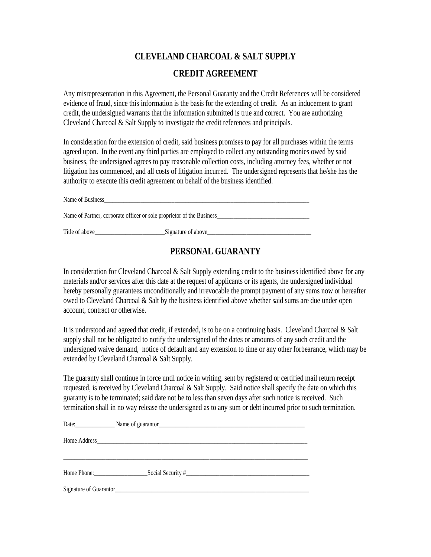## **CLEVELAND CHARCOAL & SALT SUPPLY CREDIT AGREEMENT**

Any misrepresentation in this Agreement, the Personal Guaranty and the Credit References will be considered evidence of fraud, since this information is the basis for the extending of credit. As an inducement to grant credit, the undersigned warrants that the information submitted is true and correct. You are authorizing Cleveland Charcoal & Salt Supply to investigate the credit references and principals.

In consideration for the extension of credit, said business promises to pay for all purchases within the terms agreed upon. In the event any third parties are employed to collect any outstanding monies owed by said business, the undersigned agrees to pay reasonable collection costs, including attorney fees, whether or not litigation has commenced, and all costs of litigation incurred. The undersigned represents that he/she has the authority to execute this credit agreement on behalf of the business identified.

Name of Business Name of Partner, corporate officer or sole proprietor of the Business Title of above\_\_\_\_\_\_\_\_\_\_\_\_\_\_\_\_\_\_\_\_\_\_\_\_\_\_\_\_\_\_Signature of above\_\_\_\_\_\_\_\_\_\_\_\_\_\_\_\_\_\_\_

## **PERSONAL GUARANTY**

In consideration for Cleveland Charcoal  $\&$  Salt Supply extending credit to the business identified above for any materials and/or services after this date at the request of applicants or its agents, the undersigned individual hereby personally guarantees unconditionally and irrevocable the prompt payment of any sums now or hereafter owed to Cleveland Charcoal & Salt by the business identified above whether said sums are due under open account, contract or otherwise.

It is understood and agreed that credit, if extended, is to be on a continuing basis. Cleveland Charcoal & Salt supply shall not be obligated to notify the undersigned of the dates or amounts of any such credit and the undersigned waive demand, notice of default and any extension to time or any other forbearance, which may be extended by Cleveland Charcoal & Salt Supply.

The guaranty shall continue in force until notice in writing, sent by registered or certified mail return receipt requested, is received by Cleveland Charcoal & Salt Supply. Said notice shall specify the date on which this guaranty is to be terminated; said date not be to less than seven days after such notice is received. Such termination shall in no way release the undersigned as to any sum or debt incurred prior to such termination.